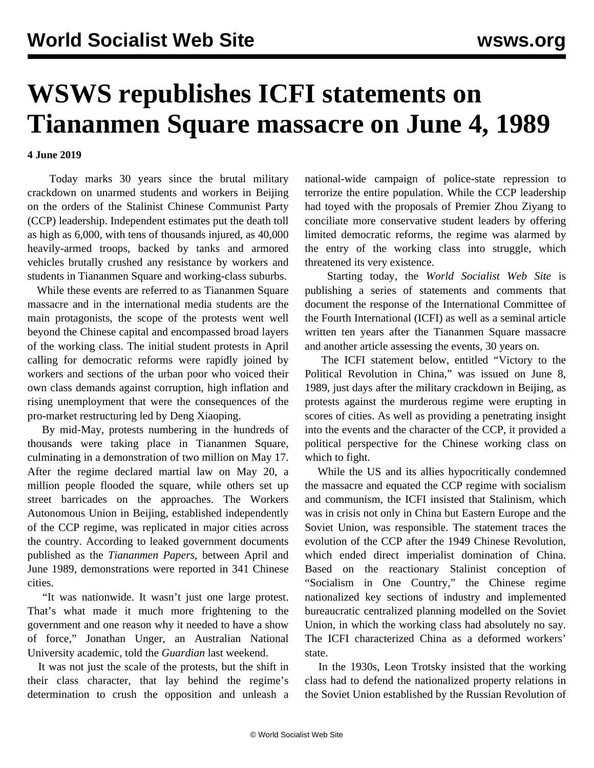## **WSWS republishes ICFI statements on Tiananmen Square massacre on June 4, 1989**

**4 June 2019**

 Today marks 30 years since the brutal military crackdown on unarmed students and workers in Beijing on the orders of the Stalinist Chinese Communist Party (CCP) leadership. Independent estimates put the death toll as high as 6,000, with tens of thousands injured, as 40,000 heavily-armed troops, backed by tanks and armored vehicles brutally crushed any resistance by workers and students in Tiananmen Square and working-class suburbs.

 While these events are referred to as Tiananmen Square massacre and in the international media students are the main protagonists, the scope of the protests went well beyond the Chinese capital and encompassed broad layers of the working class. The initial student protests in April calling for democratic reforms were rapidly joined by workers and sections of the urban poor who voiced their own class demands against corruption, high inflation and rising unemployment that were the consequences of the pro-market restructuring led by Deng Xiaoping.

 By mid-May, protests numbering in the hundreds of thousands were taking place in Tiananmen Square, culminating in a demonstration of two million on May 17. After the regime declared martial law on May 20, a million people flooded the square, while others set up street barricades on the approaches. The Workers Autonomous Union in Beijing, established independently of the CCP regime, was replicated in major cities across the country. According to leaked government documents published as the *Tiananmen Papers*, between April and June 1989, demonstrations were reported in 341 Chinese cities.

 "It was nationwide. It wasn't just one large protest. That's what made it much more frightening to the government and one reason why it needed to have a show of force," Jonathan Unger, an Australian National University academic, told the *Guardian* last weekend.

 It was not just the scale of the protests, but the shift in their class character, that lay behind the regime's determination to crush the opposition and unleash a

national-wide campaign of police-state repression to terrorize the entire population. While the CCP leadership had toyed with the proposals of Premier Zhou Ziyang to conciliate more conservative student leaders by offering limited democratic reforms, the regime was alarmed by the entry of the working class into struggle, which threatened its very existence.

 Starting today, the *World Socialist Web Site* is publishing a series of statements and comments that document the response of the International Committee of the Fourth International (ICFI) as well as a seminal article written ten years after the Tiananmen Square massacre and another article assessing the events, 30 years on.

 The ICFI statement below, entitled ["Victory to the](/en/articles/2019/06/04/tia1-j04.html) [Political Revolution in China](/en/articles/2019/06/04/tia1-j04.html)," was issued on June 8, 1989, just days after the military crackdown in Beijing, as protests against the murderous regime were erupting in scores of cities. As well as providing a penetrating insight into the events and the character of the CCP, it provided a political perspective for the Chinese working class on which to fight.

 While the US and its allies hypocritically condemned the massacre and equated the CCP regime with socialism and communism, the ICFI insisted that Stalinism, which was in crisis not only in China but Eastern Europe and the Soviet Union, was responsible. The statement traces the evolution of the CCP after the 1949 Chinese Revolution, which ended direct imperialist domination of China. Based on the reactionary Stalinist conception of "Socialism in One Country," the Chinese regime nationalized key sections of industry and implemented bureaucratic centralized planning modelled on the Soviet Union, in which the working class had absolutely no say. The ICFI characterized China as a deformed workers' state.

 In the 1930s, Leon Trotsky insisted that the working class had to defend the nationalized property relations in the Soviet Union established by the Russian Revolution of